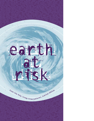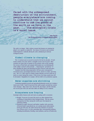**Faced with the widespread destruction of the environment, people everywhere are coming to understand that we cannot continue to use the goods of the earth as we have in the past. . . . The ecological crisis is a moral issue.**

> **John Paul II The Ecological Crisis: A Common Responsibility**

The earth is in danger. Daily, evidence mounts that humans are straining the planet's very capacity to sustain life. Our misuse of resources and economic maldevelopment is radically altering the earth, unbalancing its intricate ecological systems.

# **<< Global climate is changing >>**

The 14 warmest years on record occurred in the last two decades. If such trends continue, the Arctic will be a navigable ocean in just 50 years! Most scientists now agree that we humans are the primary cause of this warming. Our overuse of fossil fuels and rampant deforestation are overwhelming the earth's ability to absorb carbon dioxide — thickening the "greenhouse" of gases shielding the planet and disturbing heat flows between earth and space.

Scientists warn that rising temperatures will have grave consequences: record heat waves, increasingly destructive storms, massive ice melts, and rising seas. The U.N.'s 2001 report on climate change indicates sea level could rise as much as a meter during this century. If this occurs, low-lying coastal areas will be devastated. Bangladesh, for example, will lose half its rice production capacity.

# **<< Water supplies are shrinking >>**

Continuing population growth and agricultural/industrial overuse are creating a water-scarce world. Nearly 40 percent of the earth's people currently face serious water shortages. Many major rivers, like the Nile, the Ganges, and the Colorado, now run dry part of the year and water tables are falling on every continent.

# **<< Ecosystems are fraying >>**

Seemingly endless human needs and wants are gutting earth's ecosystems:

- \* Roughly 70 percent of oceanic fish stocks are either depleted from overfishing or being fished at their biological limits. This has serious consequences for those among the world's poor who depend on subsistence fishing.
- Demands for paper, firewood, and lumber, together with conversion of forested land to agricultural use, are causing massive deforestation. In the past 100 years, the earth's forests have shrunk by 42 percent. Loss of forest cover is, in turn, generating other environmental problems, including desertification, flooding, water pollution, and loss of biodiversity.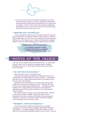

\* At least 65 percent of the world's cropland is degraded to some degree. In many developing countries, pressures to expand food production have forced farmers into marginal areas, plowing land too dry or steeply sloped for cultivation. Mexico is losing 1,036 square kilometers of farmland to desertification each year. Soil erosion is expected to reduce Africa's grain harvest by 16 percent over the next 20 years.

### **<< Species are vanishing >>**

As human population continues to grow, the number of species who share the planet is plummeting. By conservative estimates, roughly 20 percent of all living species became extinct over the last 25 years. Humans can no longer separate our fate from that of other beings on earth. If earth's rich biodiversity is continually depleted, our lives too will be diminished and may ultimately become unlivable.

#### **THREATENED BY EXTINCTION**

 **12 percent of all species of birds 24 percent of all species of mammals 30 percent of all species of fish** 



At the heart of the ecological crisis lie four destructive forces: an unsustainable economic system, excessive and unjust consumption patterns, escalating population growth, and a worldview that sets humans above and apart from the rest of creation.

### **<< An eco-blind economy >>**

The present global economy is ravaging the earth.

Predicated on the primacy of profits and never-ending growth, the current economy ignores the inherent limits of the earth's ecosystem — overharvesting renewable resources, rapidly depleting nonrenewables, and emitting excessive wastes the earth cannot assimilate.

Burning coal, oil, and natural gas to meet energy needs adds more than 6 billion tons of carbon to the atmosphere each year. Carbon dioxide levels are now 32 percent higher than preindustrial levels — the highest in possibly 20 million years! Yet governments and corporations remain addicted to artificially cheap fossil fuels and resist investment in clean, climate-friendly energy technologies.

The existing economy is based on a linear model of production: materials go from nature to product to landfill. To guarantee endless "growth," corporations have seized on schemes like disposable products and planned obsolescence. The result is a throwaway economy that needlessly depletes resources and defiles the earth with toxic wastes.

#### **<< Rampant overconsumption >>**

An economy premised on limitless growth demands ever-expanding consumption. On the whole, citizens of wealthier, industrialized nations have accommodated — uncritically adopting a life-style that consumes a socially unjust and environmentally unsustainable quantity of earth's resources. Each year,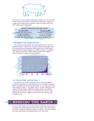

the 20 percent of earth's people in high-income countries use 75 percent of the world's resources and produce 80 percent of the world's waste. Chicago, for example, with 3 million people consumes as much raw material each year as the 97 million people of Bangladesh.

| WORLD CONSUMPTION PATTERNS         |                                                |
|------------------------------------|------------------------------------------------|
| The richest fifth                  | The poorest fifth                              |
| Consume 45% of all meat/fish       | Consume 5% of all meat/fish                    |
| Use 84% of all paper               | Use 1.1% of all paper                          |
| Use 58% of total energy            | Use 4% of total energy                         |
| Account for 53% of $CO2$ emissions | Account for $3\%$ of CO <sub>2</sub> emissions |

### **<< Burgeoning population >>**

More people have been added to the world's population since 1950 than during the previous 4 million years! Despite the obvious social, political, and environmental stresses accompanying continuing growth, the United Nations projects that today's global population of 6.2 billion will grow to 9.3 billion by 2050. Moreover, all of the 3.1 billion additional people will be added in countries least able to support increased population.



# **<< A distorted worldview >>**

The ultimate cause of earth's ecological crisis is a distorted perception of humans' relationship to the earth and other species. For much of recorded history, particularly since the Scientific Revolution, we have envisioned ourselves as the summit of creation — the rightful "owners" of earth, separate from and superior to all other beings. Within this paradigm, humans are *entitled* to dominate the earth and its resources, to use them however seems fit. Earth and other life-forms have no rights or intrinsic worth; their value lies solely in usefulness to us.



To restore earth's vitality, each of us must change, but individual changes will not be enough. The environmental deterioration of the earth is severe and complex; it can only be remedied by reducing our impact as a *species*. This means changing our systems and structures and transforming our view of the world.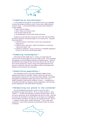

### **<< Creating an eco-economy >>**

It is increasingly obvious that the current global economy is not sustainable. To protect the prospects of all life on earth, we must create a different kind of economic system — one that acknowledges and respects basic principles of ecology, including

- nature's need for balance,
- earth's reliance on restorative cycles,
- $*$  the necessity of diversity, and
- \* the interdependence of all of earth's beings and systems.

Creating an economy that takes seriously the needs of the earth and of future generations will involve monumental changes in our economic lives. Among the most crucial will be

- $*$  a shift from reliance on fossil fuels to wind, solar, and geothermal energy sources;
- a shift from linear "throwaway" models of production to a closed loop "reuse/recycle model"; and
- \* a shift from "profits-first" overuse of resources to sustainable management of water, air, soil, forests, and all natural capital.

## **<< Greening consumption >>**

If all people lived like middle-class U.S. citizens, we would require the resources of at least *three* planets the size and wealth of earth. To live sustainably and equitably, we must all challenge dominant consumption patterns. Citizens of the global North must change the types of resources they use, the ways they use them, and the amounts they consume. Citizens of the global South must resist pressures to imitate the North and create different models of development that eliminate poverty *and* protect the environment.

### **<< Stabilizing population >>**

Given diminishing resources and earth's debilitated condition, human population growth must be controlled. Failing to achieve this will mean not only deepening ecological stress, but unnecessary human suffering. Increasingly, demographers and population analysts agree that one of the surest ways to stabilize population is improving the conditions of women — expanding access to education and health care, fostering economic independence, and increasing decision-making power in the family and the community.

# **<< Relearning our place in the universe >>**

The most foundational step humans can take to restore the earth is remembering our place in the universe. We are, as Genesis teaches us, "earth creatures" — not above the earth and its ecosystems, but part of them. We are one species among many; all are interdependent and vital to the whole. Earth and its resources do not belong to our kind. They are not objects to be manipulated and used without consequence, but subjects to be engaged and revered. All of us — mountains, streams, plants, animals, and humans — form a single *earth community.* No part of this community can long flourish if others are injured or destroyed.

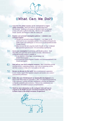**((What Can We Do?))**

**Learn how the global economy can be restructured to respect earth's ecosystems.** Read Lester Brown's groundbreaking book *Eco-Economy: Building an Economy for the Earth* which can be found at www.earth-policy.org/Books/index.htm. This book will be available in French, Spanish, and Portuguese within the coming year. **1)**

**(wood stork: e** 

#### **Examine your personal consumption patterns — minimize your ecological impact!**

**2)**

**3)**

- Calculate your personal *ecological footprint* your impact on the earth based on your consumption patterns: www.earthday.net/footprint.stm (multi-country and multilingual) or www.rco.on.ca/ecofootprintfrench.html (Canada, French)
- Reflect on your life-style using *How Earth-Friendly Are You? A Lifestyle Self-Assessment Questionnaire:* www.newroadmap.org/hefay/asp.

**Green your consumption** by purchasing earth-friendly products. Avoid disposables; buy goods that can be reused or recycled. Information on ecologically friendly products is available at:

- *Co-op America's Green Pages:* www.greenpages.org (United States/Canada)
- *Environmental Choice Program* (Canada): www.environmentalchoice.com (French and English)

**Find and use your local ecological resources.** Many communities provide recycling services, composting programs, water and air monitoring services, and other resources to help us live more gently on the earth. **4)**

**Become an advocate for the earth!** Join an environmental organization in your country; support their legislative initiatives and monitor your country's environmental performance. **5)**

**Follow this year's** *World Summit on Sustainable Development* to be held in South Africa August 26–September 4, 2002: www.johannesburgsummit.org. At this conference, countries will make commitments to develop and implement ecologically sustainable policies/practices. Find out what commitments your country makes and monitor its progress at implementation. **6)**

**Watch for more information on the ecological crisis and ways to respond on the HCIJO web site (www.holycrossjustice.org) and in future issues of the HCIJO newsletter** *Perspectives***! 7)**

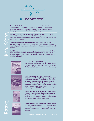

**The Earth Charter Initiative** <www.earthcharter.org> is the official site of the Earth Charter — a declaration of fundamental principles for building a just, sustainable, and peaceful global society. The Earth Charter is available in over 25 languages at this site; the site itself is in English and Spanish.

**Friends of the Earth International** <www.foei.org> includes links to over 60 national FOE groups throughout the world. FOEI campaigns on environmental and social issues and works to promote sustainable practices. National FOE web sites are available in many languages.

**Canadian Environmental Law Association** <www.cela.ca> uses the legal system to safeguard the environment and public health. CELA provides information, research, legal advice, and educational materials to address environmental issues and problems.

**World Resources Institute** <www.wri.org> is an environmental think tank which provides extensive information about earth's ecosystems (click on *Earth Trends*), as well as practical solutions to global environmental problems. The site is available in English and Spanish.